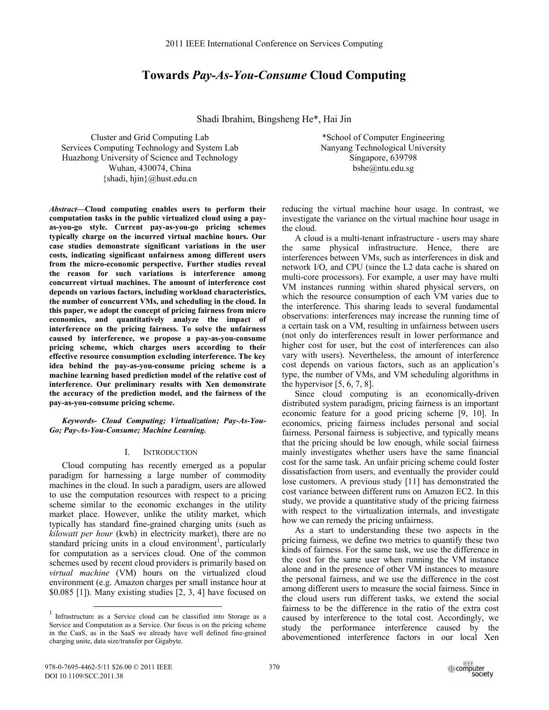# **Towards** *Pay-As-You-Consume* **Cloud Computing**

Shadi Ibrahim, Bingsheng He\*, Hai Jin

Cluster and Grid Computing Lab Services Computing Technology and System Lab Huazhong University of Science and Technology Wuhan, 430074, China {shadi, hjin}@hust.edu.cn

*Abstract***—Cloud computing enables users to perform their computation tasks in the public virtualized cloud using a payas-you-go style. Current pay-as-you-go pricing schemes typically charge on the incurred virtual machine hours. Our case studies demonstrate significant variations in the user costs, indicating significant unfairness among different users from the micro-economic perspective. Further studies reveal the reason for such variations is interference among concurrent virtual machines. The amount of interference cost depends on various factors, including workload characteristics, the number of concurrent VMs, and scheduling in the cloud. In this paper, we adopt the concept of pricing fairness from micro economics, and quantitatively analyze the impact of interference on the pricing fairness. To solve the unfairness caused by interference, we propose a pay-as-you-consume pricing scheme, which charges users according to their effective resource consumption excluding interference. The key idea behind the pay-as-you-consume pricing scheme is a machine learning based prediction model of the relative cost of interference. Our preliminary results with Xen demonstrate the accuracy of the prediction model, and the fairness of the pay-as-you-consume pricing scheme.** 

*Keywords- Cloud Computing; Virtualization; Pay-As-You-Go; Pay-As-You-Consume; Machine Learning.* 

### I. INTRODUCTION

Cloud computing has recently emerged as a popular paradigm for harnessing a large number of commodity machines in the cloud. In such a paradigm, users are allowed to use the computation resources with respect to a pricing scheme similar to the economic exchanges in the utility market place. However, unlike the utility market, which typically has standard fine-grained charging units (such as *kilowatt per hour* (kwh) in electricity market), there are no standard pricing units in a cloud environment<sup>1</sup>, particularly for computation as a services cloud. One of the common schemes used by recent cloud providers is primarily based on *virtual machine* (VM) hours on the virtualized cloud environment (e.g. Amazon charges per small instance hour at \$0.085 [1]). Many existing studies [2, 3, 4] have focused on

\*School of Computer Engineering Nanyang Technological University Singapore, 639798 bshe@ntu.edu.sg

reducing the virtual machine hour usage. In contrast, we investigate the variance on the virtual machine hour usage in the cloud.

A cloud is a multi-tenant infrastructure - users may share the same physical infrastructure. Hence, there are interferences between VMs, such as interferences in disk and network I/O, and CPU (since the L2 data cache is shared on multi-core processors). For example, a user may have multi VM instances running within shared physical servers, on which the resource consumption of each VM varies due to the interference. This sharing leads to several fundamental observations: interferences may increase the running time of a certain task on a VM, resulting in unfairness between users (not only do interferences result in lower performance and higher cost for user, but the cost of interferences can also vary with users). Nevertheless, the amount of interference cost depends on various factors, such as an application's type, the number of VMs, and VM scheduling algorithms in the hypervisor  $[5, 6, 7, 8]$ .

Since cloud computing is an economically-driven distributed system paradigm, pricing fairness is an important economic feature for a good pricing scheme [9, 10]. In economics, pricing fairness includes personal and social fairness. Personal fairness is subjective, and typically means that the pricing should be low enough, while social fairness mainly investigates whether users have the same financial cost for the same task. An unfair pricing scheme could foster dissatisfaction from users, and eventually the provider could lose customers. A previous study [11] has demonstrated the cost variance between different runs on Amazon EC2. In this study, we provide a quantitative study of the pricing fairness with respect to the virtualization internals, and investigate how we can remedy the pricing unfairness.

As a start to understanding these two aspects in the pricing fairness, we define two metrics to quantify these two kinds of fairness. For the same task, we use the difference in the cost for the same user when running the VM instance alone and in the presence of other VM instances to measure the personal fairness, and we use the difference in the cost among different users to measure the social fairness. Since in the cloud users run different tasks, we extend the social fairness to be the difference in the ratio of the extra cost caused by interference to the total cost. Accordingly, we study the performance interference caused by the abovementioned interference factors in our local Xen

 <sup>1</sup> Infrastructure as a Service cloud can be classified into Storage as a Service and Computation as a Service. Our focus is on the pricing scheme in the CaaS, as in the SaaS we already have well defined fine-grained charging unite, data size/transfer per Gigabyte.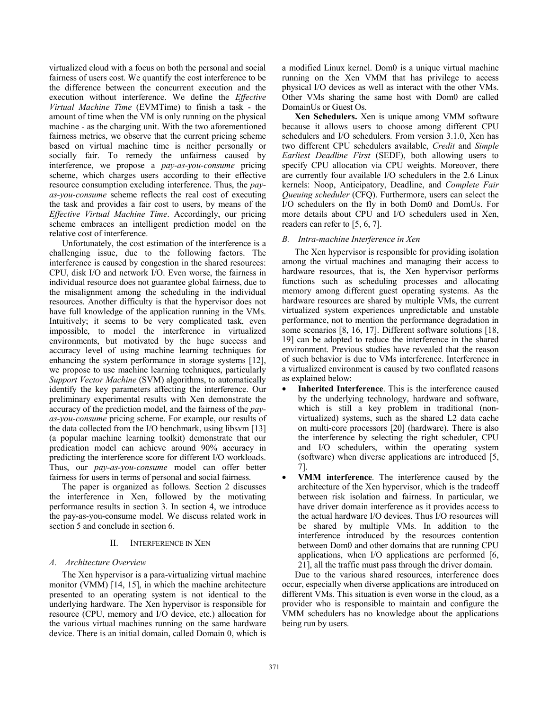virtualized cloud with a focus on both the personal and social fairness of users cost. We quantify the cost interference to be the difference between the concurrent execution and the execution without interference. We define the *Effective Virtual Machine Time* (EVMTime) to finish a task - the amount of time when the VM is only running on the physical machine - as the charging unit. With the two aforementioned fairness metrics, we observe that the current pricing scheme based on virtual machine time is neither personally or socially fair. To remedy the unfairness caused by interference, we propose a *pay-as-you-consume* pricing scheme, which charges users according to their effective resource consumption excluding interference. Thus, the *payas-you-consume* scheme reflects the real cost of executing the task and provides a fair cost to users, by means of the *Effective Virtual Machine Time*. Accordingly, our pricing scheme embraces an intelligent prediction model on the relative cost of interference.

Unfortunately, the cost estimation of the interference is a challenging issue, due to the following factors. The interference is caused by congestion in the shared resources: CPU, disk I/O and network I/O. Even worse, the fairness in individual resource does not guarantee global fairness, due to the misalignment among the scheduling in the individual resources. Another difficulty is that the hypervisor does not have full knowledge of the application running in the VMs. Intuitively; it seems to be very complicated task, even impossible, to model the interference in virtualized environments, but motivated by the huge success and accuracy level of using machine learning techniques for enhancing the system performance in storage systems [12], we propose to use machine learning techniques, particularly *Support Vector Machine* (SVM) algorithms, to automatically identify the key parameters affecting the interference. Our preliminary experimental results with Xen demonstrate the accuracy of the prediction model, and the fairness of the *payas-you-consume* pricing scheme. For example, our results of the data collected from the I/O benchmark, using libsvm [13] (a popular machine learning toolkit) demonstrate that our predication model can achieve around 90% accuracy in predicting the interference score for different I/O workloads. Thus, our *pay-as-you-consume* model can offer better fairness for users in terms of personal and social fairness.

The paper is organized as follows. Section 2 discusses the interference in Xen, followed by the motivating performance results in section 3. In section 4, we introduce the pay-as-you-consume model. We discuss related work in section 5 and conclude in section 6.

## II. INTERFERENCE IN XEN

## *A. Architecture Overview*

The Xen hypervisor is a para-virtualizing virtual machine monitor (VMM) [14, 15], in which the machine architecture presented to an operating system is not identical to the underlying hardware. The Xen hypervisor is responsible for resource (CPU, memory and I/O device, etc.) allocation for the various virtual machines running on the same hardware device. There is an initial domain, called Domain 0, which is a modified Linux kernel. Dom0 is a unique virtual machine running on the Xen VMM that has privilege to access physical I/O devices as well as interact with the other VMs. Other VMs sharing the same host with Dom0 are called DomainUs or Guest Os.

**Xen Schedulers.** Xen is unique among VMM software because it allows users to choose among different CPU schedulers and I/O schedulers. From version 3.1.0, Xen has two different CPU schedulers available, *Credit* and *Simple Earliest Deadline First* (SEDF), both allowing users to specify CPU allocation via CPU weights. Moreover, there are currently four available I/O schedulers in the 2.6 Linux kernels: Noop, Anticipatory, Deadline, and *Complete Fair Queuing scheduler* (CFQ). Furthermore, users can select the I/O schedulers on the fly in both Dom0 and DomUs. For more details about CPU and I/O schedulers used in Xen, readers can refer to [5, 6, 7].

## *B. Intra-machine Interference in Xen*

The Xen hypervisor is responsible for providing isolation among the virtual machines and managing their access to hardware resources, that is, the Xen hypervisor performs functions such as scheduling processes and allocating memory among different guest operating systems. As the hardware resources are shared by multiple VMs, the current virtualized system experiences unpredictable and unstable performance, not to mention the performance degradation in some scenarios [8, 16, 17]. Different software solutions [18, 19] can be adopted to reduce the interference in the shared environment. Previous studies have revealed that the reason of such behavior is due to VMs interference. Interference in a virtualized environment is caused by two conflated reasons as explained below:

- **Inherited Interference**. This is the interference caused by the underlying technology, hardware and software, which is still a key problem in traditional (nonvirtualized) systems, such as the shared L2 data cache on multi-core processors [20] (hardware). There is also the interference by selecting the right scheduler, CPU and I/O schedulers, within the operating system (software) when diverse applications are introduced [5, 7].
- **VMM interference**. The interference caused by the architecture of the Xen hypervisor, which is the tradeoff between risk isolation and fairness. In particular, we have driver domain interference as it provides access to the actual hardware I/O devices. Thus I/O resources will be shared by multiple VMs. In addition to the interference introduced by the resources contention between Dom0 and other domains that are running CPU applications, when I/O applications are performed [6, 21], all the traffic must pass through the driver domain.

Due to the various shared resources, interference does occur, especially when diverse applications are introduced on different VMs. This situation is even worse in the cloud, as a provider who is responsible to maintain and configure the VMM schedulers has no knowledge about the applications being run by users.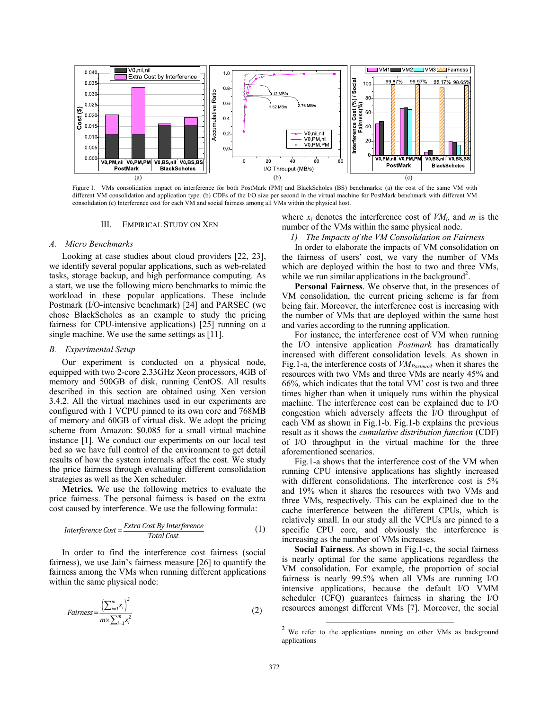

Figure 1. VMs consolidation impact on interference for both PostMark (PM) and BlackScholes (BS) benchmarks: (a) the cost of the same VM with different VM consolidation and application type. (b) CDFs of the I/O size per second in the virtual machine for PostMark benchmark with different VM consolidation (c) Interference cost for each VM and social fairness among all VMs within the physical host.

#### III. EMPIRICAL STUDY ON XEN

### *A. Micro Benchmarks*

Looking at case studies about cloud providers [22, 23], we identify several popular applications, such as web-related tasks, storage backup, and high performance computing. As a start, we use the following micro benchmarks to mimic the workload in these popular applications. These include Postmark (I/O-intensive benchmark) [24] and PARSEC (we chose BlackScholes as an example to study the pricing fairness for CPU-intensive applications) [25] running on a single machine. We use the same settings as [11].

#### *B. Experimental Setup*

Our experiment is conducted on a physical node, equipped with two 2-core 2.33GHz Xeon processors, 4GB of memory and 500GB of disk, running CentOS. All results described in this section are obtained using Xen version 3.4.2. All the virtual machines used in our experiments are configured with 1 VCPU pinned to its own core and 768MB of memory and 60GB of virtual disk. We adopt the pricing scheme from Amazon: \$0.085 for a small virtual machine instance [1]. We conduct our experiments on our local test bed so we have full control of the environment to get detail results of how the system internals affect the cost. We study the price fairness through evaluating different consolidation strategies as well as the Xen scheduler.

**Metrics.** We use the following metrics to evaluate the price fairness. The personal fairness is based on the extra cost caused by interference. We use the following formula:

Interference Cost = 
$$
\frac{Extra Cost By Interference}{Total Cost}
$$
 (1)

In order to find the interference cost fairness (social fairness), we use Jain's fairness measure [26] to quantify the fairness among the VMs when running different applications within the same physical node:

$$
Fairness = \frac{\left(\sum_{i=1}^{m} x_i\right)^2}{m \times \sum_{i=1}^{m} x_i^2}
$$
 (2)

where  $x_i$  denotes the interference cost of  $VM_i$ , and *m* is the number of the VMs within the same physical node.

## *1) The Impacts of the VM Consolidation on Fairness*

In order to elaborate the impacts of VM consolidation on the fairness of users' cost, we vary the number of VMs which are deployed within the host to two and three VMs, while we run similar applications in the background<sup>2</sup>.

**Personal Fairness**. We observe that, in the presences of VM consolidation, the current pricing scheme is far from being fair. Moreover, the interference cost is increasing with the number of VMs that are deployed within the same host and varies according to the running application.

For instance, the interference cost of VM when running the I/O intensive application *Postmark* has dramatically increased with different consolidation levels. As shown in Fig.1-a, the interference costs of *VMPostmark* when it shares the resources with two VMs and three VMs are nearly 45% and 66%, which indicates that the total VM' cost is two and three times higher than when it uniquely runs within the physical machine. The interference cost can be explained due to I/O congestion which adversely affects the I/O throughput of each VM as shown in Fig.1-b. Fig.1-b explains the previous result as it shows the *cumulative distribution function* (CDF) of I/O throughput in the virtual machine for the three aforementioned scenarios.

Fig.1-a shows that the interference cost of the VM when running CPU intensive applications has slightly increased with different consolidations. The interference cost is 5% and 19% when it shares the resources with two VMs and three VMs, respectively. This can be explained due to the cache interference between the different CPUs, which is relatively small. In our study all the VCPUs are pinned to a specific CPU core, and obviously the interference is increasing as the number of VMs increases.

**Social Fairness**. As shown in Fig.1-c, the social fairness is nearly optimal for the same applications regardless the VM consolidation. For example, the proportion of social fairness is nearly 99.5% when all VMs are running I/O intensive applications, because the default I/O VMM scheduler (CFQ) guarantees fairness in sharing the I/O resources amongst different VMs [7]. Moreover, the social

<sup>&</sup>lt;sup>2</sup> We refer to the applications running on other VMs as background applications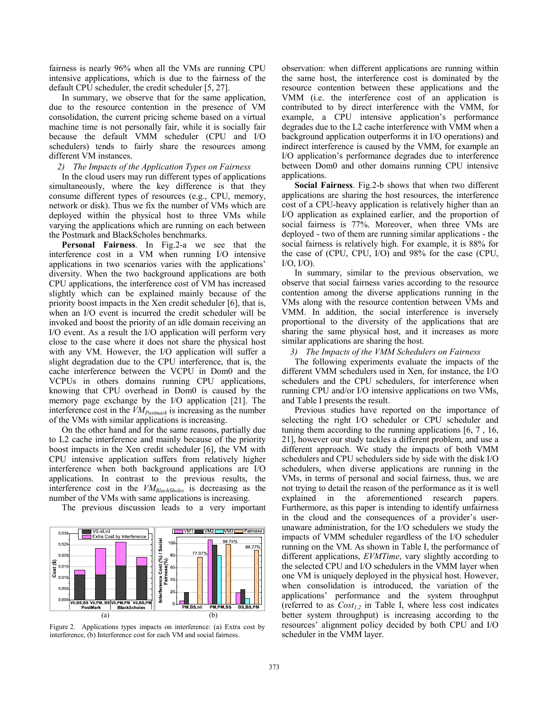fairness is nearly 96% when all the VMs are running CPU intensive applications, which is due to the fairness of the default CPU scheduler, the credit scheduler [5, 27].

In summary, we observe that for the same application, due to the resource contention in the presence of VM consolidation, the current pricing scheme based on a virtual machine time is not personally fair, while it is socially fair because the default VMM scheduler (CPU and I/O schedulers) tends to fairly share the resources among different VM instances.

## *2) The Impacts of the Application Types on Fairness*

In the cloud users may run different types of applications simultaneously, where the key difference is that they consume different types of resources (e.g., CPU, memory, network or disk). Thus we fix the number of VMs which are deployed within the physical host to three VMs while varying the applications which are running on each between the Postmark and BlackScholes benchmarks.

**Personal Fairness**. In Fig.2-a we see that the interference cost in a VM when running I/O intensive applications in two scenarios varies with the applications' diversity. When the two background applications are both CPU applications, the interference cost of VM has increased slightly which can be explained mainly because of the priority boost impacts in the Xen credit scheduler [6], that is, when an I/O event is incurred the credit scheduler will be invoked and boost the priority of an idle domain receiving an I/O event. As a result the I/O application will perform very close to the case where it does not share the physical host with any VM. However, the I/O application will suffer a slight degradation due to the CPU interference, that is, the cache interference between the VCPU in Dom0 and the VCPUs in others domains running CPU applications, knowing that CPU overhead in Dom0 is caused by the memory page exchange by the I/O application [21]. The interference cost in the  $VM_{Postmark}$  is increasing as the number of the VMs with similar applications is increasing.

On the other hand and for the same reasons, partially due to L2 cache interference and mainly because of the priority boost impacts in the Xen credit scheduler [6], the VM with CPU intensive application suffers from relatively higher interference when both background applications are I/O applications. In contrast to the previous results, the interference cost in the *VMBlachSholes* is decreasing as the number of the VMs with same applications is increasing.

The previous discussion leads to a very important



Figure 2. Applications types impacts on interference: (a) Extra cost by interference, (b) Interference cost for each VM and social fairness.

observation: when different applications are running within the same host, the interference cost is dominated by the resource contention between these applications and the VMM (i.e. the interference cost of an application is contributed to by direct interference with the VMM, for example, a CPU intensive application's performance degrades due to the L2 cache interference with VMM when a background application outperforms it in I/O operations) and indirect interference is caused by the VMM, for example an I/O application's performance degrades due to interference between Dom0 and other domains running CPU intensive applications.

**Social Fairness**. Fig.2-b shows that when two different applications are sharing the host resources, the interference cost of a CPU-heavy application is relatively higher than an I/O application as explained earlier, and the proportion of social fairness is 77%. Moreover, when three VMs are deployed - two of them are running similar applications - the social fairness is relatively high. For example, it is 88% for the case of (CPU, CPU, I/O) and 98% for the case (CPU,  $I/O$ ,  $I/O$ ).

In summary, similar to the previous observation, we observe that social fairness varies according to the resource contention among the diverse applications running in the VMs along with the resource contention between VMs and VMM. In addition, the social interference is inversely proportional to the diversity of the applications that are sharing the same physical host, and it increases as more similar applications are sharing the host.

## *3) The Impacts of the VMM Schedulers on Fairness*

The following experiments evaluate the impacts of the different VMM schedulers used in Xen, for instance, the I/O schedulers and the CPU schedulers, for interference when running CPU and/or I/O intensive applications on two VMs, and Table I presents the result.

Previous studies have reported on the importance of selecting the right I/O scheduler or CPU scheduler and tuning them according to the running applications [6, 7 , 16, 21], however our study tackles a different problem, and use a different approach. We study the impacts of both VMM schedulers and CPU schedulers side by side with the disk I/O schedulers, when diverse applications are running in the VMs, in terms of personal and social fairness, thus, we are not trying to detail the reason of the performance as it is well explained in the aforementioned research papers. Furthermore, as this paper is intending to identify unfairness in the cloud and the consequences of a provider's userunaware administration, for the I/O schedulers we study the impacts of VMM scheduler regardless of the I/O scheduler running on the VM. As shown in Table I, the performance of different applications, *EVMTime*, vary slightly according to the selected CPU and I/O schedulers in the VMM layer when one VM is uniquely deployed in the physical host. However, when consolidation is introduced, the variation of the applications' performance and the system throughput (referred to as  $Cost_{1,2}$  in Table I, where less cost indicates better system throughput) is increasing according to the resources' alignment policy decided by both CPU and I/O scheduler in the VMM layer.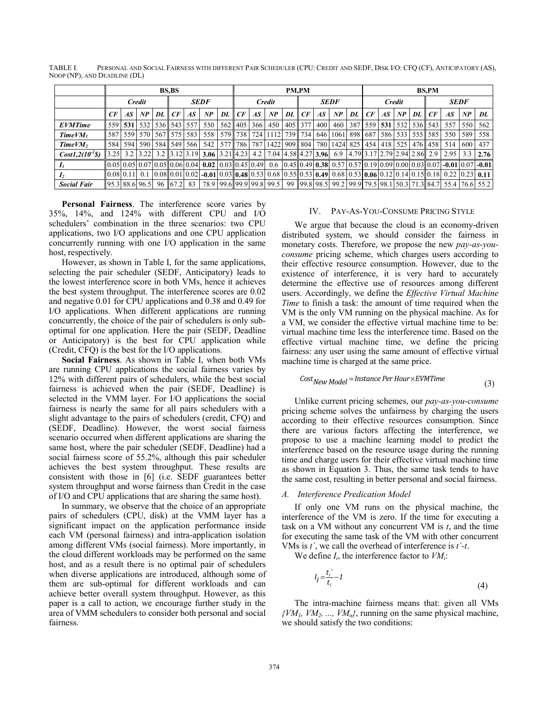|                      | <b>BS.BS</b>   |    |                         |             |            |     |                                                                                                        |               | PM.PM     |             |                          |    |    |                 |                                                                   | <b>BS.PM</b>                            |    |               |                 |    |         |                                                                                                                                                                                   |     |      |
|----------------------|----------------|----|-------------------------|-------------|------------|-----|--------------------------------------------------------------------------------------------------------|---------------|-----------|-------------|--------------------------|----|----|-----------------|-------------------------------------------------------------------|-----------------------------------------|----|---------------|-----------------|----|---------|-----------------------------------------------------------------------------------------------------------------------------------------------------------------------------------|-----|------|
|                      | <b>Credit</b>  |    |                         | <b>SEDF</b> |            |     |                                                                                                        | <b>Credit</b> |           |             | <b>SEDF</b>              |    |    | <b>Credit</b>   |                                                                   |                                         |    | <b>SEDF</b>   |                 |    |         |                                                                                                                                                                                   |     |      |
|                      | CF             | AS | NP                      |             | $DL$ $CF$  | AS  | $\mathbf{NP}$                                                                                          |               | $DL$ $CF$ | AS          | NP                       | DL | CF | $\overline{AS}$ | NP                                                                | DL                                      | CF | $A\mathbf{S}$ | NP              | DL | CF      | AS                                                                                                                                                                                | NP  | DL   |
| <b>EVMTime</b>       | 559 531        |    | 532                     |             | 536 543    | 557 | 550                                                                                                    |               | 562 405   |             | 366   450   405   377    |    |    | 400             | 460 387 559 531 532                                               |                                         |    |               |                 |    | 536 543 | 557                                                                                                                                                                               | 550 | 562  |
| TimeVM <sub>1</sub>  |                |    | 587 559 570             |             | 567 575    | 583 | 558                                                                                                    |               | 579 738   | 724 l       |                          |    |    |                 | 1112 739 734 646 1061 898 687                                     |                                         |    |               | 586 533 555 585 |    |         | 550                                                                                                                                                                               | 589 | 558  |
| TimeVM <sub>2</sub>  |                |    | 584 594 590 584 549 566 |             |            |     | 542                                                                                                    |               |           | 577 786 787 |                          |    |    |                 | 1422   909   804   780   1424   825   454   418   525   476   458 |                                         |    |               |                 |    |         | 514                                                                                                                                                                               | 600 | 437  |
| $Cost1, 2(10^{-2}s)$ | 3.25           |    | 3.2 3.22                |             |            |     | $3.2$   $3.12$   $3.19$   $3.06$   $3.21$   $4.23$   $4.2$   $7.04$   $4.58$   $4.27$   $3.96$   $6.9$ |               |           |             |                          |    |    |                 |                                                                   | $14.79$ 3.17 $2.79$ $2.94$ $2.86$ $2.9$ |    |               |                 |    |         | $2.95$   3.3                                                                                                                                                                      |     | 2.76 |
|                      |                |    |                         |             |            |     |                                                                                                        |               |           |             |                          |    |    |                 |                                                                   |                                         |    |               |                 |    |         | $[0.0510.0510.0710.0510.0610.0410.0210.0310.4510.4910.610.4910.3810.5710.5710.1910.0910.0010.0310.071-0.0110.071-0.0110.071]$                                                     |     |      |
| I <sub>2</sub>       | 0.0810.1110.1  |    |                         |             |            |     |                                                                                                        |               |           |             |                          |    |    |                 |                                                                   |                                         |    |               |                 |    |         | $[0.08]$ $[0.01]$ $[0.02]$ $-0.01$ $[0.03]$ $[0.48]$ $[0.53]$ $[0.68]$ $[0.55]$ $[0.49]$ $[0.68]$ $[0.53]$ $[0.06]$ $[0.12]$ $[0.14]$ $[0.15]$ $[0.18]$ $[0.22]$ $[0.23]$ $[0.11$ |     |      |
| <b>Social Fair</b>   | 95.3 88.6 96.5 |    |                         |             | 96 67.2 83 |     |                                                                                                        |               |           |             | 78.9 99.6 99.9 99.8 99.5 |    |    |                 |                                                                   |                                         |    |               |                 |    |         | 99 99.8 98.5 99.2 99.9 79.5 98.1 50.3 71.3 84.7 55.4 76.6 55.2                                                                                                                    |     |      |

TABLE I. PERSONAL AND SOCIAL FAIRNESS WITH DIFFERENT PAIR SCHEDULER (CPU: CREDIT AND SEDF, DISK I/O: CFQ (CF), ANTICIPATORY (AS), NOOP (NP), AND DEADLINE (DL)

**Personal Fairness**. The interference score varies by 35%, 14%, and 124% with different CPU and I/O schedulers' combination in the three scenarios: two CPU applications, two I/O applications and one CPU application concurrently running with one I/O application in the same host, respectively.

However, as shown in Table I, for the same applications, selecting the pair scheduler (SEDF, Anticipatory) leads to the lowest interference score in both VMs, hence it achieves the best system throughput. The interference scores are 0.02 and negative 0.01 for CPU applications and 0.38 and 0.49 for I/O applications. When different applications are running concurrently, the choice of the pair of schedulers is only suboptimal for one application. Here the pair (SEDF, Deadline or Anticipatory) is the best for CPU application while (Credit, CFQ) is the best for the I/O applications.

**Social Fairness**. As shown in Table I, when both VMs are running CPU applications the social fairness varies by 12% with different pairs of schedulers, while the best social fairness is achieved when the pair (SEDF, Deadline) is selected in the VMM layer. For I/O applications the social fairness is nearly the same for all pairs schedulers with a slight advantage to the pairs of schedulers (credit, CFQ) and (SEDF, Deadline). However, the worst social fairness scenario occurred when different applications are sharing the same host, where the pair scheduler (SEDF, Deadline) had a social fairness score of 55.2%, although this pair scheduler achieves the best system throughput. These results are consistent with those in [6] (i.e. SEDF guarantees better system throughput and worse fairness than Credit in the case of I/O and CPU applications that are sharing the same host).

In summary, we observe that the choice of an appropriate pairs of schedulers (CPU, disk) at the VMM layer has a significant impact on the application performance inside each VM (personal fairness) and intra-application isolation among different VMs (social fairness). More importantly, in the cloud different workloads may be performed on the same host, and as a result there is no optimal pair of schedulers when diverse applications are introduced, although some of them are sub-optimal for different workloads and can achieve better overall system throughput. However, as this paper is a call to action, we encourage further study in the area of VMM schedulers to consider both personal and social fairness.

### IV. PAY-AS-YOU-CONSUME PRICING STYLE

We argue that because the cloud is an economy-driven distributed system, we should consider the fairness in monetary costs. Therefore, we propose the new *pay-as-youconsume* pricing scheme, which charges users according to their effective resource consumption. However, due to the existence of interference, it is very hard to accurately determine the effective use of resources among different users. Accordingly, we define the *Effective Virtual Machine Time* to finish a task: the amount of time required when the VM is the only VM running on the physical machine. As for a VM, we consider the effective virtual machine time to be: virtual machine time less the interference time. Based on the effective virtual machine time, we define the pricing fairness: any user using the same amount of effective virtual machine time is charged at the same price.

$$
Cost_{New Model} = Instead
$$

Unlike current pricing schemes, our *pay-as-you-consume* pricing scheme solves the unfairness by charging the users according to their effective resources consumption. Since there are various factors affecting the interference, we propose to use a machine learning model to predict the interference based on the resource usage during the running time and charge users for their effective virtual machine time as shown in Equation 3. Thus, the same task tends to have the same cost, resulting in better personal and social fairness.

#### *A. Interference Predication Model*

If only one VM runs on the physical machine, the interference of the VM is zero. If the time for executing a task on a VM without any concurrent VM is *t*, and the time for executing the same task of the VM with other concurrent VMs is *t`*, we call the overhead of interference is *t`-t*.

We define  $I_i$ , the interference factor to  $VM_i$ :

$$
I_i = \frac{t_i}{t_i} - 1\tag{4}
$$

The intra-machine fairness means that: given all VMs  $\{VM_1, VM_2, ..., VM_n\}$ , running on the same physical machine, we should satisfy the two conditions: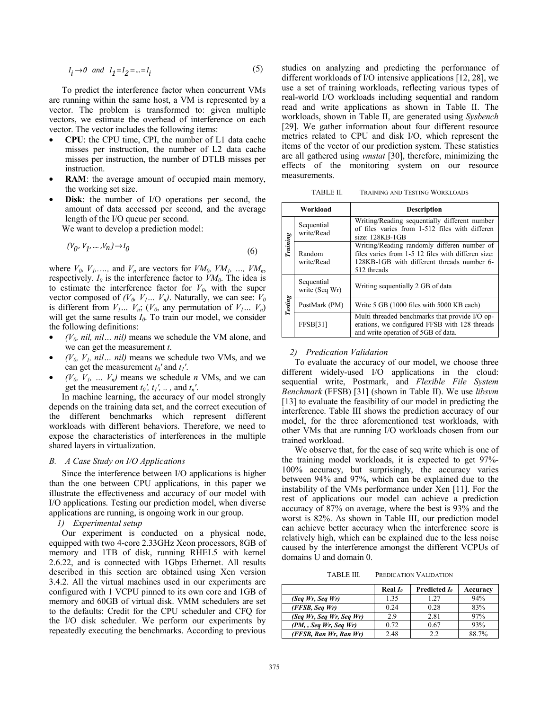$$
I_i \to 0 \quad \text{and} \quad I_1 = I_2 = \dots = I_i \tag{5}
$$

To predict the interference factor when concurrent VMs are running within the same host, a VM is represented by a vector. The problem is transformed to: given multiple vectors, we estimate the overhead of interference on each vector. The vector includes the following items:

- **CPU**: the CPU time, CPI, the number of L1 data cache misses per instruction, the number of L2 data cache misses per instruction, the number of DTLB misses per instruction.
- **RAM**: the average amount of occupied main memory, the working set size.
- **Disk**: the number of I/O operations per second, the amount of data accessed per second, and the average length of the I/O queue per second.

We want to develop a prediction model:

$$
(V_0, V_1, \dots, V_n) \to I_0 \tag{6}
$$

where  $V_0$ ,  $V_1$ ,...., and  $V_n$  are vectors for  $VM_0$ ,  $VM_1$ , ...,  $VM_n$ , respectively.  $I_0$  is the interference factor to  $VM_0$ . The idea is to estimate the interference factor for  $V_0$ , with the super vector composed of  $(V_0, V_1... V_n)$ . Naturally, we can see:  $V_0$ is different from  $V_1... V_n$ ;  $(V_0$ , any permutation of  $V_1... V_n$ ) will get the same results  $I_0$ . To train our model, we consider the following definitions:

- $(V_0, nil, nil... nil)$  means we schedule the VM alone, and we can get the measurement *t*.
- $(V_0, V_1, \textit{nil... nil})$  means we schedule two VMs, and we can get the measurement  $t_0'$  and  $t_1'$ .
- $(V_0, V_1, \ldots, V_n)$  means we schedule *n* VMs, and we can get the measurement  $t_0$ ',  $t_1$ ', ..., and  $t_n$ '.

In machine learning, the accuracy of our model strongly depends on the training data set, and the correct execution of the different benchmarks which represent different workloads with different behaviors. Therefore, we need to expose the characteristics of interferences in the multiple shared layers in virtualization.

## *B. A Case Study on I/O Applications*

Since the interference between I/O applications is higher than the one between CPU applications, in this paper we illustrate the effectiveness and accuracy of our model with I/O applications. Testing our prediction model, when diverse applications are running, is ongoing work in our group.

*1) Experimental setup*

Our experiment is conducted on a physical node, equipped with two 4-core 2.33GHz Xeon processors, 8GB of memory and 1TB of disk, running RHEL5 with kernel 2.6.22, and is connected with 1Gbps Ethernet. All results described in this section are obtained using Xen version 3.4.2. All the virtual machines used in our experiments are configured with 1 VCPU pinned to its own core and 1GB of memory and 60GB of virtual disk. VMM schedulers are set to the defaults: Credit for the CPU scheduler and CFQ for the I/O disk scheduler. We perform our experiments by repeatedly executing the benchmarks. According to previous studies on analyzing and predicting the performance of different workloads of I/O intensive applications [12, 28], we use a set of training workloads, reflecting various types of real-world I/O workloads including sequential and random read and write applications as shown in Table II. The workloads, shown in Table II, are generated using *Sysbench* [29]. We gather information about four different resource metrics related to CPU and disk I/O, which represent the items of the vector of our prediction system. These statistics are all gathered using *vmstat* [30], therefore, minimizing the effects of the monitoring system on our resource measurements.

TABLE II. TRAINING AND TESTING WORKLOADS

|          | Workload                     | <b>Description</b>                                                                                                                                             |  |  |  |  |  |
|----------|------------------------------|----------------------------------------------------------------------------------------------------------------------------------------------------------------|--|--|--|--|--|
|          | Sequential<br>write/Read     | Writing/Reading sequentially different number<br>of files varies from 1-512 files with different<br>size: $128KB-1GB$                                          |  |  |  |  |  |
| Training | Random<br>write/Read         | Writing/Reading randomly differen number of<br>files varies from 1-5 12 files with differen size:<br>128KB-1GB with different threads number 6-<br>512 threads |  |  |  |  |  |
| Testing  | Sequential<br>write (Seq Wr) | Writing sequentially 2 GB of data                                                                                                                              |  |  |  |  |  |
|          | PostMark (PM)                | Write 5 GB (1000 files with 5000 KB each)                                                                                                                      |  |  |  |  |  |
|          | <b>FFSB[31]</b>              | Multi threaded benchmarks that provide I/O op-<br>erations, we configured FFSB with 128 threads<br>and write operation of 5GB of data.                         |  |  |  |  |  |

## *2) Predication Validation*

To evaluate the accuracy of our model, we choose three different widely-used I/O applications in the cloud: sequential write, Postmark, and *Flexible File System Benchmark* (FFSB) [31] (shown in Table II). We use *libsvm* [13] to evaluate the feasibility of our model in predicting the interference. Table III shows the prediction accuracy of our model, for the three aforementioned test workloads, with other VMs that are running I/O workloads chosen from our trained workload.

We observe that, for the case of seq write which is one of the training model workloads, it is expected to get 97%- 100% accuracy, but surprisingly, the accuracy varies between 94% and 97%, which can be explained due to the instability of the VMs performance under Xen [11]. For the rest of applications our model can achieve a prediction accuracy of 87% on average, where the best is 93% and the worst is 82%. As shown in Table III, our prediction model can achieve better accuracy when the interference score is relatively high, which can be explained due to the less noise caused by the interference amongst the different VCPUs of domains U and domain 0.

TABLE III. PREDICATION VALIDATION

|                          | Real $I_0$ | Predicted $I_{\theta}$ | Accuracy |
|--------------------------|------------|------------------------|----------|
| (Seq Wr, Seq Wr)         | 1.35       | 1 2.7                  | 94%      |
| (FFSB, Seq Wr)           | 0.24       | 0.28                   | 83%      |
| (Seq Wr, Seq Wr, Seq Wr) | 2.9        | 2.81                   | 97%      |
| $(PM,$ , Seq Wr, Seq Wr) | 0.72       | 0.67                   | 93%      |
| (FFSB, Ran Wr, Ran Wr)   | 2.48       | 22                     | 88.7%    |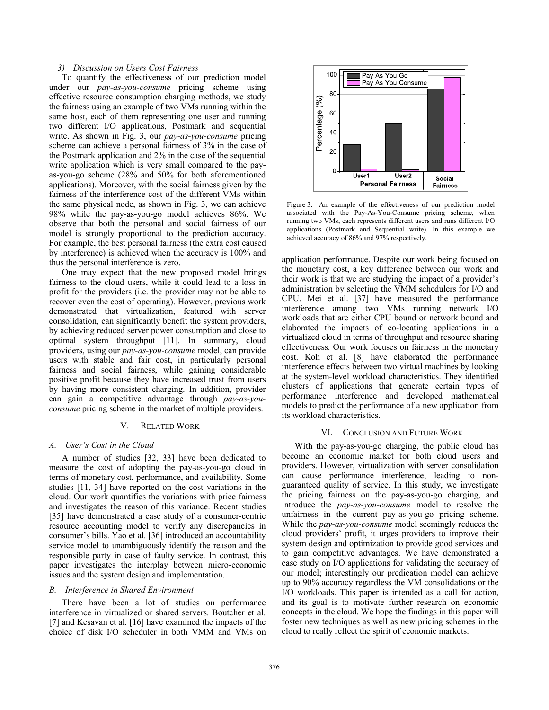## *3) Discussion on Users Cost Fairness*

To quantify the effectiveness of our prediction model under our *pay-as-you-consume* pricing scheme using effective resource consumption charging methods, we study the fairness using an example of two VMs running within the same host, each of them representing one user and running two different I/O applications, Postmark and sequential write. As shown in Fig. 3, our *pay-as-you-consume* pricing scheme can achieve a personal fairness of 3% in the case of the Postmark application and 2% in the case of the sequential write application which is very small compared to the payas-you-go scheme (28% and 50% for both aforementioned applications). Moreover, with the social fairness given by the fairness of the interference cost of the different VMs within the same physical node, as shown in Fig. 3, we can achieve 98% while the pay-as-you-go model achieves 86%. We observe that both the personal and social fairness of our model is strongly proportional to the prediction accuracy. For example, the best personal fairness (the extra cost caused by interference) is achieved when the accuracy is 100% and thus the personal interference is zero.

One may expect that the new proposed model brings fairness to the cloud users, while it could lead to a loss in profit for the providers (i.e. the provider may not be able to recover even the cost of operating). However, previous work demonstrated that virtualization, featured with server consolidation, can significantly benefit the system providers, by achieving reduced server power consumption and close to optimal system throughput [11]. In summary, cloud providers, using our *pay-as-you-consume* model, can provide users with stable and fair cost, in particularly personal fairness and social fairness, while gaining considerable positive profit because they have increased trust from users by having more consistent charging. In addition, provider can gain a competitive advantage through *pay-as-youconsume* pricing scheme in the market of multiple providers.

## V. RELATED WORK

## *A. User's Cost in the Cloud*

A number of studies [32, 33] have been dedicated to measure the cost of adopting the pay-as-you-go cloud in terms of monetary cost, performance, and availability. Some studies [11, 34] have reported on the cost variations in the cloud. Our work quantifies the variations with price fairness and investigates the reason of this variance. Recent studies [35] have demonstrated a case study of a consumer-centric resource accounting model to verify any discrepancies in consumer's bills. Yao et al. [36] introduced an accountability service model to unambiguously identify the reason and the responsible party in case of faulty service. In contrast, this paper investigates the interplay between micro-economic issues and the system design and implementation.

#### *B. Interference in Shared Environment*

There have been a lot of studies on performance interference in virtualized or shared servers. Boutcher et al. [7] and Kesavan et al. [16] have examined the impacts of the choice of disk I/O scheduler in both VMM and VMs on



Figure 3. An example of the effectiveness of our prediction model associated with the Pay-As-You-Consume pricing scheme, when running two VMs, each represents different users and runs different I/O applications (Postmark and Sequential write). In this example we achieved accuracy of 86% and 97% respectively.

application performance. Despite our work being focused on the monetary cost, a key difference between our work and their work is that we are studying the impact of a provider's administration by selecting the VMM schedulers for I/O and CPU. Mei et al. [37] have measured the performance interference among two VMs running network I/O workloads that are either CPU bound or network bound and elaborated the impacts of co-locating applications in a virtualized cloud in terms of throughput and resource sharing effectiveness. Our work focuses on fairness in the monetary cost. Koh et al. [8] have elaborated the performance interference effects between two virtual machines by looking at the system-level workload characteristics. They identified clusters of applications that generate certain types of performance interference and developed mathematical models to predict the performance of a new application from its workload characteristics.

#### VI. CONCLUSION AND FUTURE WORK

With the pay-as-you-go charging, the public cloud has become an economic market for both cloud users and providers. However, virtualization with server consolidation can cause performance interference, leading to nonguaranteed quality of service. In this study, we investigate the pricing fairness on the pay-as-you-go charging, and introduce the *pay-as-you-consume* model to resolve the unfairness in the current pay-as-you-go pricing scheme. While the *pay-as-you-consume* model seemingly reduces the cloud providers' profit, it urges providers to improve their system design and optimization to provide good services and to gain competitive advantages. We have demonstrated a case study on I/O applications for validating the accuracy of our model; interestingly our predication model can achieve up to 90% accuracy regardless the VM consolidations or the I/O workloads. This paper is intended as a call for action, and its goal is to motivate further research on economic concepts in the cloud. We hope the findings in this paper will foster new techniques as well as new pricing schemes in the cloud to really reflect the spirit of economic markets.